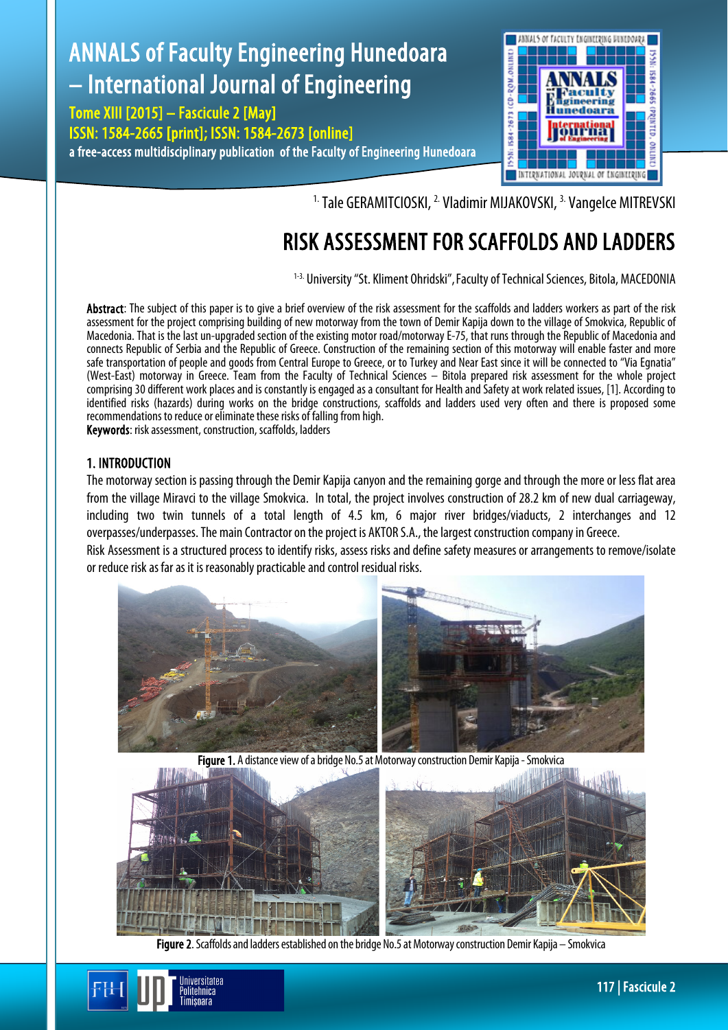# ANNALS of Faculty Engineering Hunedoara – International Journal of Engineering

Tome XIII [2015] – Fascicule 2 [May] ISSN: 1584-2665 [print]; ISSN: 1584-2673 [online] a free-access multidisciplinary publication of the Faculty of Engineering Hunedoara



<sup>1.</sup> Tale GERAMITCIOSKI, <sup>2.</sup> Vladimir MIJAKOVSKI, <sup>3.</sup> Vangelce MITREVSKI

## RISK ASSESSMENT FOR SCAFFOLDS AND LADDERS

1-3. University "St. Kliment Ohridski", Faculty of Technical Sciences, Bitola, MACEDONIA

Abstract: The subject of this paper is to give a brief overview of the risk assessment for the scaffolds and ladders workers as part of the risk assessment for the project comprising building of new motorway from the town of Demir Kapija down to the village of Smokvica, Republic of Macedonia. That is the last un-upgraded section of the existing motor road/motorway E-75, that runs through the Republic of Macedonia and connects Republic of Serbia and the Republic of Greece. Construction of the remaining section of this motorway will enable faster and more safe transportation of people and goods from Central Europe to Greece, or to Turkey and Near East since it will be connected to "Via Egnatia" (West-East) motorway in Greece. Team from the Faculty of Technical Sciences - Bitola prepared risk assessment for the whole project comprising 30 different work places and is constantly is engaged as a consultant for Health and Safety at work related issues, [1]. According to identified risks (hazards) during works on the bridge constructions, scaffolds and ladders used very often and there is proposed some recommendations to reduce or eliminate these risks of falling from high.

Keywords: risk assessment, construction, scaffolds, ladders

niversitatea <sup>o</sup>olitehnica imisnara

## 1. INTRODUCTION

The motorway section is passing through the Demir Kapija canyon and the remaining gorge and through the more or less flat area from the village Miravci to the village Smokvica. In total, the project involves construction of 28.2 km of new dual carriageway, including two twin tunnels of a total length of 4.5 km, 6 major river bridges/viaducts, 2 interchanges and 12 overpasses/underpasses. The main Contractor on the project is AKTOR S.A., the largest construction company in Greece. Risk Assessment is a structured process to identify risks, assess risks and define safety measures or arrangements to remove/isolate or reduce risk as far as it is reasonably practicable and control residual risks.



Figure 1. A distance view of a bridge No.5 at Motorway construction Demir Kapija - Smokvica



Figure 2. Scaffolds and ladders established on the bridge No.5 at Motorway construction Demir Kapija – Smokvica

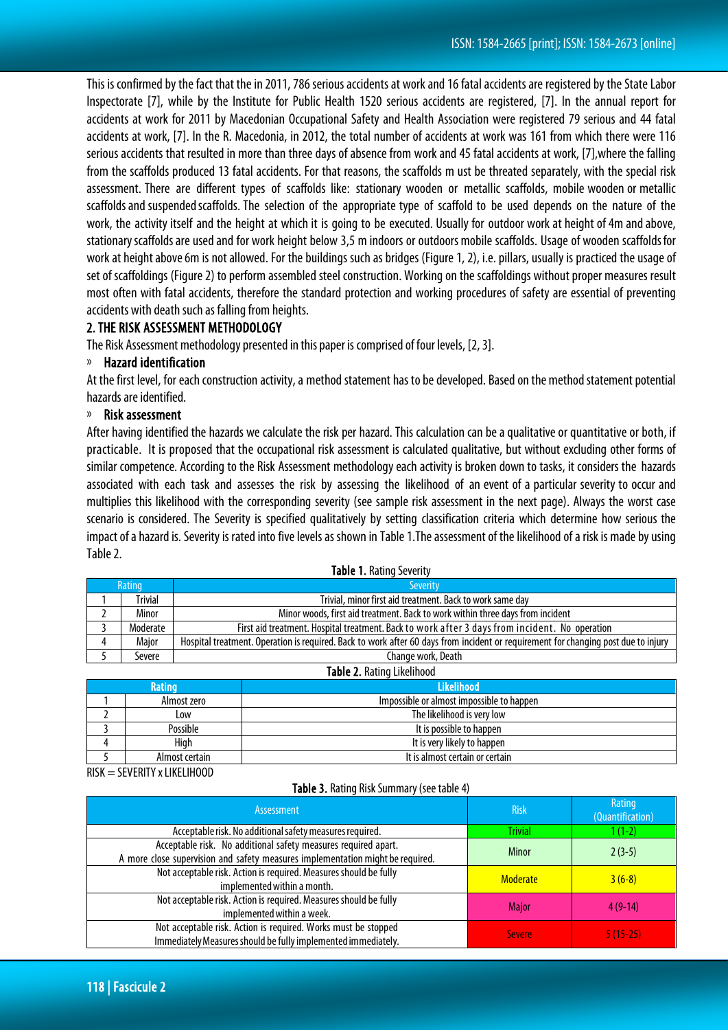This is confirmed by the fact that the in 2011, 786 serious accidents at work and 16 fatal accidents are registered by the State Labor Inspectorate [7], while by the Institute for Public Health 1520 serious accidents are registered, [7]. In the annual report for accidents at work for 2011 by Macedonian Occupational Safety and Health Association were registered 79 serious and 44 fatal accidents at work, [7]. In the R. Macedonia, in 2012, the total number of accidents at work was 161 from which there were 116 serious accidents that resulted in more than three days of absence from work and 45 fatal accidents at work, [7],where the falling from the scaffolds produced 13 fatal accidents. For that reasons, the scaffolds m ust be threated separately, with the special risk assessment. There are different types of scaffolds like: stationary wooden or metallic scaffolds, mobile wooden or metallic scaffolds and suspended scaffolds. The selection of the appropriate type of scaffold to be used depends on the nature of the work, the activity itself and the height at which it is going to be executed. Usually for outdoor work at height of4m andabove, stationary scaffolds are used and for work height below 3,5 m indoors or outdoors mobile scaffolds. Usage of wooden scaffolds for work at height above 6m is not allowed. For the buildings such as bridges (Figure 1, 2), i.e. pillars, usually is practiced the usage of set of scaffoldings (Figure 2) to perform assembled steel construction. Working on the scaffoldings without proper measures result most often with fatal accidents, therefore the standard protection and working procedures of safety are essential of preventing accidents with death such as falling from heights.

#### 2. THE RISK ASSESSMENT METHODOLOGY

The Risk Assessment methodology presented in this paper is comprised of four levels, [2, 3].

#### Hazard identification

At the first level, for each construction activity, a method statement has to be developed. Based on the method statement potential hazards are identified.

#### Risk assessment

After having identified the hazards we calculate the risk per hazard. This calculation can be a qualitative or quantitative or both, if practicable. It is proposed that the occupational risk assessment is calculated qualitative, but without excluding other forms of similar competence. According to the Risk Assessment methodology each activity is broken down to tasks, it considers the hazards associated with each task and assesses the risk by assessing the likelihood of an event of a particular severity to occur and multiplies this likelihood with the corresponding severity (see sample risk assessment in the next page). Always the worst case scenario is considered. The Severity is specified qualitatively by setting classification criteria which determine how serious the impact of a hazard is. Severity is rated into five levels as shown in Table 1.The assessment of the likelihood of a risk is made by using Table 2.

| <b>TADIC 1.</b> BOULD JEVELITY |              |                                                                                                                                    |  |  |  |  |
|--------------------------------|--------------|------------------------------------------------------------------------------------------------------------------------------------|--|--|--|--|
| Rating                         |              | <b>Severity</b>                                                                                                                    |  |  |  |  |
|                                | Trivial      | Trivial, minor first aid treatment. Back to work same day                                                                          |  |  |  |  |
|                                | Minor        | Minor woods, first aid treatment. Back to work within three days from incident                                                     |  |  |  |  |
|                                | Moderate     | First aid treatment. Hospital treatment. Back to work after 3 days from incident. No operation                                     |  |  |  |  |
|                                | <b>Maior</b> | Hospital treatment. Operation is required. Back to work after 60 days from incident or requirement for changing post due to injury |  |  |  |  |
|                                | Severe       | Change work, Death                                                                                                                 |  |  |  |  |
| Tahla 2 Rating Likelihood      |              |                                                                                                                                    |  |  |  |  |

Table 1. Pating Severity

| <b>TUBIC 2:</b> RUGHTY ENCHITOOU |                |                                           |  |  |  |
|----------------------------------|----------------|-------------------------------------------|--|--|--|
| <b>Rating</b>                    |                | <b>Likelihood</b>                         |  |  |  |
|                                  | Almost zero    | Impossible or almost impossible to happen |  |  |  |
|                                  | Low            | The likelihood is very low                |  |  |  |
|                                  | Possible       | It is possible to happen                  |  |  |  |
|                                  | Hiah           | It is very likely to happen               |  |  |  |
|                                  | Almost certain | It is almost certain or certain           |  |  |  |

 $RISK = SEVERITY \times LIKELIHOOD$ 

#### Table 3. Rating Risk Summary (see table 4)

| <b>Assessment</b>                                                                                                                                | <b>Risk</b>     | Rating<br>(Quantification) |
|--------------------------------------------------------------------------------------------------------------------------------------------------|-----------------|----------------------------|
| Acceptable risk. No additional safety measures required.                                                                                         | <b>Trivial</b>  | 1 (1-2)                    |
| Acceptable risk. No additional safety measures required apart.<br>A more close supervision and safety measures implementation might be required. | Minor           | $2(3-5)$                   |
| Not acceptable risk. Action is required. Measures should be fully<br>implemented within a month.                                                 | <b>Moderate</b> | $3(6-8)$                   |
| Not acceptable risk. Action is required. Measures should be fully<br>implemented within a week.                                                  | <b>Maior</b>    | $4(9-14)$                  |
| Not acceptable risk. Action is required. Works must be stopped<br>Immediately Measures should be fully implemented immediately.                  | <b>Severe</b>   | $5(15-25)$                 |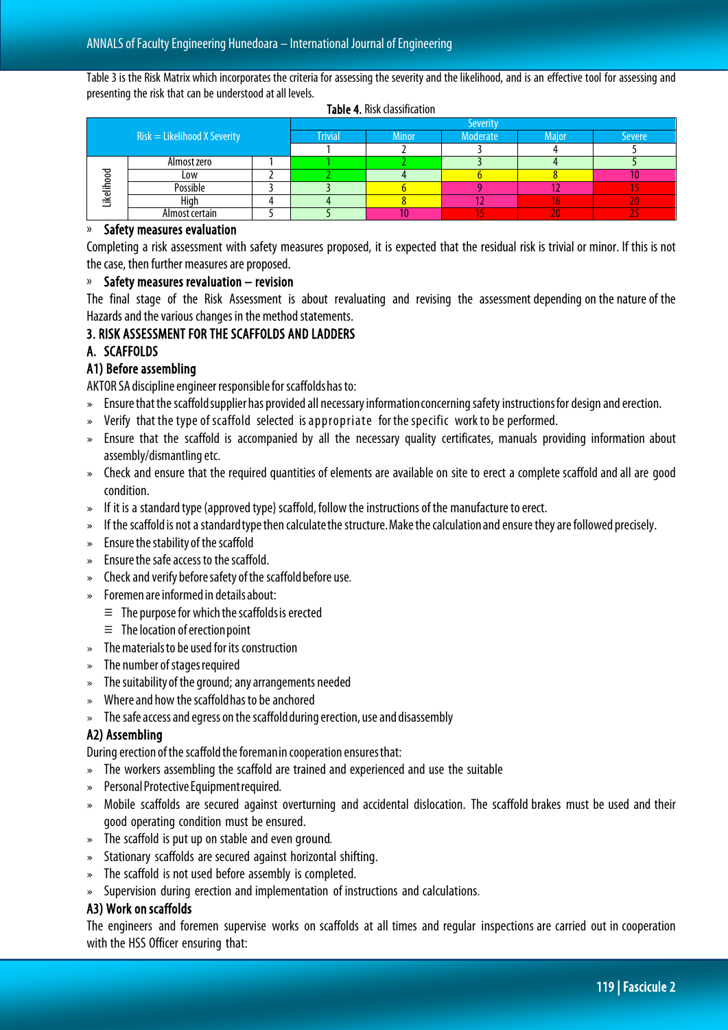Table 3 is the Risk Matrix which incorporates the criteria for assessing the severity and the likelihood, and is an effective tool for assessing and presenting the risk that can be understood at all levels.

| $Risk = Likelihood X$ Severity |                |  | Severity       |              |          |              |        |
|--------------------------------|----------------|--|----------------|--------------|----------|--------------|--------|
|                                |                |  | <b>Trivial</b> | <b>Minor</b> | Moderate | <b>Maior</b> | Severe |
|                                |                |  |                |              |          |              |        |
| Likelihood                     | Almost zero    |  |                |              |          |              |        |
|                                | Low            |  |                |              |          |              |        |
|                                | Possible       |  |                |              |          |              |        |
|                                | Hiah           |  |                |              |          |              |        |
|                                | Almost certain |  |                |              |          | 47           |        |

Table 4. Risk classification

#### » Safety measures evaluation

Completing a risk assessment with safety measures proposed, it is expected that the residual risk is trivial or minor. If this is not the case, then further measures are proposed.

#### Safety measures revaluation – revision

The final stage of the Risk Assessment is about revaluating and revising the assessment depending on the nature of the Hazards and the various changes in the method statements.

#### 3. RISK ASSESSMENT FOR THE SCAFFOLDS AND LADDERS

## A. SCAFFOLDS

## A1) Before assembling

AKTOR SA discipline engineer responsible for scaffolds has to:

- » Ensure that the scaffold supplier has provided all necessary information concerning safety instructions for design and erection.
- » Verify that the type of scaffold selected is appropriate for the specific work to be performed.
- » Ensure that the scaffold is accompanied by all the necessary quality certificates, manuals providing information about assembly/dismantling etc.
- » Check and ensure that the required quantities of elements are available on site to erect a complete scaffold and all are good condition.
- » If it is a standard type (approved type} scaffold, follow the instructions of the manufacture to erect.
- » If the scaffold is not a standard type then calculate the structure. Make the calculation and ensure they are followed precisely.
- $\bullet$  Ensure the stability of the scaffold
- » Ensure the safe access to the scaffold.
- » Check and verify before safety of the scaffold before use.
- » Foremen are informed in details about:
	- $\equiv$  The purpose for which the scaffolds is erected
	- $\equiv$  The location of erection point
- » The materials to be used for its construction
- $\ast$  The number of stages required
- $\bullet$  The suitability of the ground; any arrangements needed
- » Where and how the scaffold has to be anchored
- » The safe access and egress on the scaffold during erection, use and disassembly

## A2) Assembling

During erection of the scaffold the foreman in cooperation ensures that:

- » The workers assembling the scaffold are trained and experienced and use the suitable
- » Personal Protective Equipment required.
- » Mobile scaffolds are secured against overturning and accidental dislocation. The scaffold brakes must be used and their good operating condition must be ensured.
- » The scaffold is put up on stable and even ground.
- » Stationary scaffolds are secured against horizontal shifting.
- » The scaffold is not used before assembly is completed.
- » Supervision during erection andimplementation of instructions and calculations.

#### A3) Work on scaffolds

The engineers and foremen supervise works on scaffolds at all times and regular inspections are carried out in cooperation with the HSS Officer ensuring that: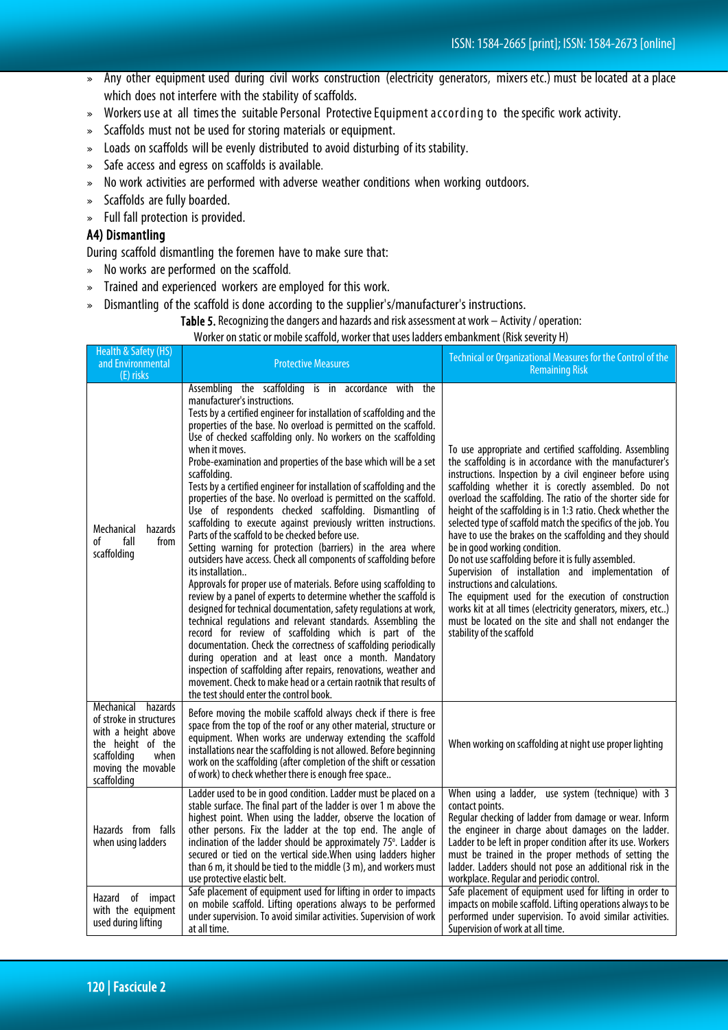- » Any other equipment used during civil works construction (electricity generators, mixers etc.) must be located at a place which does not interfere with the stability of scaffolds.
- » Workers use at all times the suitable Personal Protective Equipment according to the specific work activity.
- » Scaffolds must not be used for storing materials or equipment.
- » Loads on scaffolds will be evenly distributed to avoid disturbing of its stability.
- » Safe access and egress on scaffolds is available.
- » No work activities are performed with adverse weather conditions when working outdoors.
- » Scaffolds are fully boarded.
- » Full fall protection is provided.

## A4) Dismantling

During scaffold dismantling the foremen have to make sure that:

- » No works are performed on the scaffold.
- » Trained and experienced workers are employed for this work.
- » Dismantling of the scaffold is done according to the supplier's/manufacturer's instructions.

Table 5. Recognizing the dangers and hazards and risk assessment at work – Activity / operation:

Worker on static or mobile scaffold, worker that uses ladders embankment (Risk severity H)

| Health & Safety (HS)<br>and Environmental<br>(E) risks                                                                                                   | <b>Protective Measures</b>                                                                                                                                                                                                                                                                                                                                                                                                                                                                                                                                                                                                                                                                                                                                                                                                                                                                                                                                                                                                                                                                                                                                                                                                                                                                                                                                                                                                                                                                                                                                  | Technical or Organizational Measures for the Control of the<br><b>Remaining Risk</b>                                                                                                                                                                                                                                                                                                                                                                                                                                                                                                                                                                                                                                                                                                                                                                                                                  |  |
|----------------------------------------------------------------------------------------------------------------------------------------------------------|-------------------------------------------------------------------------------------------------------------------------------------------------------------------------------------------------------------------------------------------------------------------------------------------------------------------------------------------------------------------------------------------------------------------------------------------------------------------------------------------------------------------------------------------------------------------------------------------------------------------------------------------------------------------------------------------------------------------------------------------------------------------------------------------------------------------------------------------------------------------------------------------------------------------------------------------------------------------------------------------------------------------------------------------------------------------------------------------------------------------------------------------------------------------------------------------------------------------------------------------------------------------------------------------------------------------------------------------------------------------------------------------------------------------------------------------------------------------------------------------------------------------------------------------------------------|-------------------------------------------------------------------------------------------------------------------------------------------------------------------------------------------------------------------------------------------------------------------------------------------------------------------------------------------------------------------------------------------------------------------------------------------------------------------------------------------------------------------------------------------------------------------------------------------------------------------------------------------------------------------------------------------------------------------------------------------------------------------------------------------------------------------------------------------------------------------------------------------------------|--|
| Mechanical<br>hazards<br>оf<br>fall<br>from<br>scaffolding                                                                                               | Assembling the scaffolding is in accordance with the<br>manufacturer's instructions.<br>Tests by a certified engineer for installation of scaffolding and the<br>properties of the base. No overload is permitted on the scaffold.<br>Use of checked scaffolding only. No workers on the scaffolding<br>when it moves.<br>Probe-examination and properties of the base which will be a set<br>scaffolding.<br>Tests by a certified engineer for installation of scaffolding and the<br>properties of the base. No overload is permitted on the scaffold.<br>Use of respondents checked scaffolding. Dismantling of<br>scaffolding to execute against previously written instructions.<br>Parts of the scaffold to be checked before use.<br>Setting warning for protection (barriers) in the area where<br>outsiders have access. Check all components of scaffolding before<br>its installation<br>Approvals for proper use of materials. Before using scaffolding to<br>review by a panel of experts to determine whether the scaffold is<br>designed for technical documentation, safety regulations at work,<br>technical regulations and relevant standards. Assembling the<br>record for review of scaffolding which is part of the<br>documentation. Check the correctness of scaffolding periodically<br>during operation and at least once a month. Mandatory<br>inspection of scaffolding after repairs, renovations, weather and<br>movement. Check to make head or a certain raotnik that results of<br>the test should enter the control book. | To use appropriate and certified scaffolding. Assembling<br>the scaffolding is in accordance with the manufacturer's<br>instructions. Inspection by a civil engineer before using<br>scaffolding whether it is corectly assembled. Do not<br>overload the scaffolding. The ratio of the shorter side for<br>height of the scaffolding is in 1:3 ratio. Check whether the<br>selected type of scaffold match the specifics of the job. You<br>have to use the brakes on the scaffolding and they should<br>be in good working condition.<br>Do not use scaffolding before it is fully assembled.<br>Supervision of installation and implementation of<br>instructions and calculations.<br>The equipment used for the execution of construction<br>works kit at all times (electricity generators, mixers, etc)<br>must be located on the site and shall not endanger the<br>stability of the scaffold |  |
| hazards<br>Mechanical<br>of stroke in structures<br>with a height above<br>the height of the<br>scaffolding<br>when<br>moving the movable<br>scaffolding | Before moving the mobile scaffold always check if there is free<br>space from the top of the roof or any other material, structure or<br>equipment. When works are underway extending the scaffold<br>installations near the scaffolding is not allowed. Before beginning<br>work on the scaffolding (after completion of the shift or cessation<br>of work) to check whether there is enough free space                                                                                                                                                                                                                                                                                                                                                                                                                                                                                                                                                                                                                                                                                                                                                                                                                                                                                                                                                                                                                                                                                                                                                    | When working on scaffolding at night use proper lighting                                                                                                                                                                                                                                                                                                                                                                                                                                                                                                                                                                                                                                                                                                                                                                                                                                              |  |
| Hazards from falls<br>when using ladders                                                                                                                 | Ladder used to be in good condition. Ladder must be placed on a<br>stable surface. The final part of the ladder is over 1 m above the<br>highest point. When using the ladder, observe the location of<br>other persons. Fix the ladder at the top end. The angle of<br>inclination of the ladder should be approximately 75°. Ladder is<br>secured or tied on the vertical side. When using ladders higher<br>than 6 m, it should be tied to the middle (3 m), and workers must<br>use protective elastic belt.                                                                                                                                                                                                                                                                                                                                                                                                                                                                                                                                                                                                                                                                                                                                                                                                                                                                                                                                                                                                                                            | When using a ladder, use system (technique) with 3<br>contact points.<br>Regular checking of ladder from damage or wear. Inform<br>the engineer in charge about damages on the ladder.<br>Ladder to be left in proper condition after its use. Workers<br>must be trained in the proper methods of setting the<br>ladder. Ladders should not pose an additional risk in the<br>workplace. Regular and periodic control.                                                                                                                                                                                                                                                                                                                                                                                                                                                                               |  |
| Hazard of impact<br>with the equipment<br>used during lifting                                                                                            | Safe placement of equipment used for lifting in order to impacts<br>on mobile scaffold. Lifting operations always to be performed<br>under supervision. To avoid similar activities. Supervision of work<br>at all time.                                                                                                                                                                                                                                                                                                                                                                                                                                                                                                                                                                                                                                                                                                                                                                                                                                                                                                                                                                                                                                                                                                                                                                                                                                                                                                                                    | Safe placement of equipment used for lifting in order to<br>impacts on mobile scaffold. Lifting operations always to be<br>performed under supervision. To avoid similar activities.<br>Supervision of work at all time.                                                                                                                                                                                                                                                                                                                                                                                                                                                                                                                                                                                                                                                                              |  |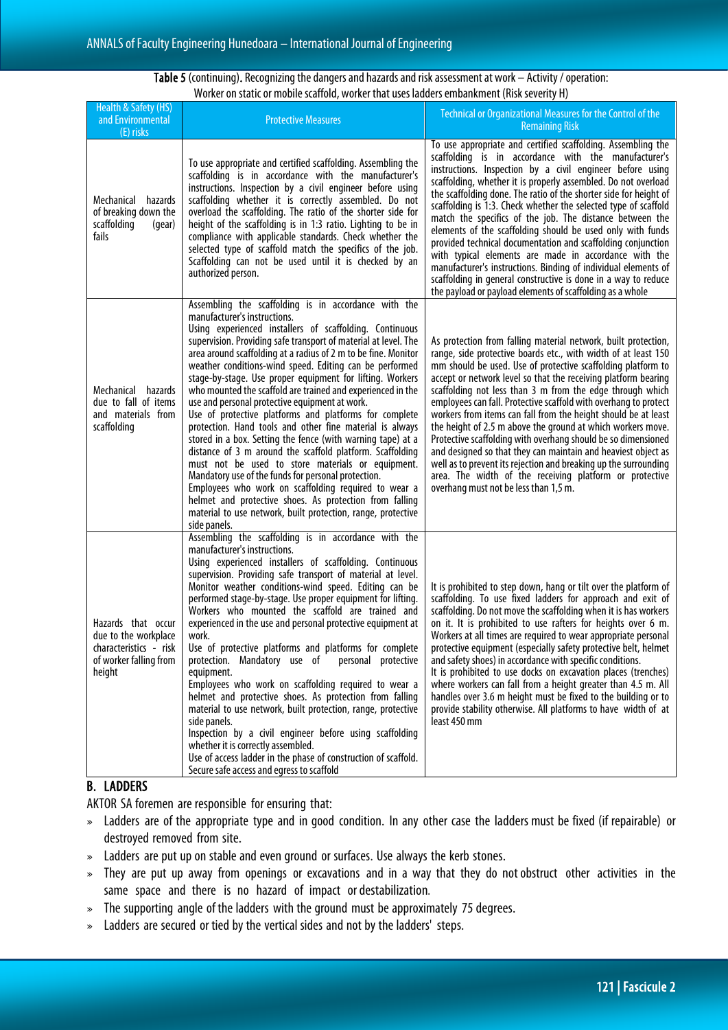#### Table 5(continuing). Recognizing the dangers and hazards and risk assessment at work – Activity / operation: Worker on static or mobile scaffold, worker that uses ladders embankment (Risk severity H)

| Health & Safety (HS)<br>and Environmental<br>(E) risks                                                   | <b>Protective Measures</b>                                                                                                                                                                                                                                                                                                                                                                                                                                                                                                                                                                                                                                                                                                                                                                                                                                                                                                                                                                                                                                                                     | <b>Technical or Organizational Measures for the Control of the</b><br><b>Remaining Risk</b>                                                                                                                                                                                                                                                                                                                                                                                                                                                                                                                                                                                                                                                                                                                                                     |
|----------------------------------------------------------------------------------------------------------|------------------------------------------------------------------------------------------------------------------------------------------------------------------------------------------------------------------------------------------------------------------------------------------------------------------------------------------------------------------------------------------------------------------------------------------------------------------------------------------------------------------------------------------------------------------------------------------------------------------------------------------------------------------------------------------------------------------------------------------------------------------------------------------------------------------------------------------------------------------------------------------------------------------------------------------------------------------------------------------------------------------------------------------------------------------------------------------------|-------------------------------------------------------------------------------------------------------------------------------------------------------------------------------------------------------------------------------------------------------------------------------------------------------------------------------------------------------------------------------------------------------------------------------------------------------------------------------------------------------------------------------------------------------------------------------------------------------------------------------------------------------------------------------------------------------------------------------------------------------------------------------------------------------------------------------------------------|
| Mechanical<br>hazards<br>of breaking down the<br>scaffolding<br>(gear)<br>fails                          | To use appropriate and certified scaffolding. Assembling the<br>scaffolding is in accordance with the manufacturer's<br>instructions. Inspection by a civil engineer before using<br>scaffolding whether it is correctly assembled. Do not<br>overload the scaffolding. The ratio of the shorter side for<br>height of the scaffolding is in 1:3 ratio. Lighting to be in<br>compliance with applicable standards. Check whether the<br>selected type of scaffold match the specifics of the job.<br>Scaffolding can not be used until it is checked by an<br>authorized person.                                                                                                                                                                                                                                                                                                                                                                                                                                                                                                               | To use appropriate and certified scaffolding. Assembling the<br>scaffolding is in accordance with the manufacturer's<br>instructions. Inspection by a civil engineer before using<br>scaffolding, whether it is properly assembled. Do not overload<br>the scaffolding done. The ratio of the shorter side for height of<br>scaffolding is 1:3. Check whether the selected type of scaffold<br>match the specifics of the job. The distance between the<br>elements of the scaffolding should be used only with funds<br>provided technical documentation and scaffolding conjunction<br>with typical elements are made in accordance with the<br>manufacturer's instructions. Binding of individual elements of<br>scaffolding in general constructive is done in a way to reduce<br>the payload or payload elements of scaffolding as a whole |
| Mechanical hazards<br>due to fall of items<br>and materials from<br>scaffolding                          | Assembling the scaffolding is in accordance with the<br>manufacturer's instructions.<br>Using experienced installers of scaffolding. Continuous<br>supervision. Providing safe transport of material at level. The<br>area around scaffolding at a radius of 2 m to be fine. Monitor<br>weather conditions-wind speed. Editing can be performed<br>stage-by-stage. Use proper equipment for lifting. Workers<br>who mounted the scaffold are trained and experienced in the<br>use and personal protective equipment at work.<br>Use of protective platforms and platforms for complete<br>protection. Hand tools and other fine material is always<br>stored in a box. Setting the fence (with warning tape) at a<br>distance of 3 m around the scaffold platform. Scaffolding<br>must not be used to store materials or equipment.<br>Mandatory use of the funds for personal protection.<br>Employees who work on scaffolding required to wear a<br>helmet and protective shoes. As protection from falling<br>material to use network, built protection, range, protective<br>side panels. | As protection from falling material network, built protection,<br>range, side protective boards etc., with width of at least 150<br>mm should be used. Use of protective scaffolding platform to<br>accept or network level so that the receiving platform bearing<br>scaffolding not less than 3 m from the edge through which<br>employees can fall. Protective scaffold with overhang to protect<br>workers from items can fall from the height should be at least<br>the height of 2.5 m above the ground at which workers move.<br>Protective scaffolding with overhang should be so dimensioned<br>and designed so that they can maintain and heaviest object as<br>well as to prevent its rejection and breaking up the surrounding<br>area. The width of the receiving platform or protective<br>overhang must not be less than 1,5 m.  |
| Hazards that occur<br>due to the workplace<br>characteristics - risk<br>of worker falling from<br>height | Assembling the scaffolding is in accordance with the<br>manufacturer's instructions.<br>Using experienced installers of scaffolding. Continuous<br>supervision. Providing safe transport of material at level.<br>Monitor weather conditions-wind speed. Editing can be<br>performed stage-by-stage. Use proper equipment for lifting.<br>Workers who mounted the scaffold are trained and<br>experienced in the use and personal protective equipment at<br>work.<br>Use of protective platforms and platforms for complete<br>protection. Mandatory use of personal protective<br>equipment.<br>Employees who work on scaffolding required to wear a<br>helmet and protective shoes. As protection from falling<br>material to use network, built protection, range, protective<br>side panels.<br>Inspection by a civil engineer before using scaffolding<br>whether it is correctly assembled.<br>Use of access ladder in the phase of construction of scaffold.<br>Secure safe access and egress to scaffold                                                                              | It is prohibited to step down, hang or tilt over the platform of<br>scaffolding. To use fixed ladders for approach and exit of<br>scaffolding. Do not move the scaffolding when it is has workers<br>on it. It is prohibited to use rafters for heights over 6 m.<br>Workers at all times are required to wear appropriate personal<br>protective equipment (especially safety protective belt, helmet<br>and safety shoes) in accordance with specific conditions.<br>It is prohibited to use docks on excavation places (trenches)<br>where workers can fall from a height greater than 4.5 m. All<br>handles over 3.6 m height must be fixed to the building or to<br>provide stability otherwise. All platforms to have width of at<br>least 450 mm                                                                                         |

## B. LADDERS

AKTOR SA foremen are responsible for ensuring that:

- » Ladders are of the appropriate type and in good condition. In any other case the ladders must be fixed (if repairable) or destroyed removed from site.
- » Ladders are put up on stable and even ground or surfaces. Use always the kerb stones.
- » They are put up away from openings or excavations and in a way that they do not obstruct other activities in the same space and there is no hazard of impact or destabilization.
- » The supporting angle of the ladders with the ground must be approximately 75 degrees.
- » Ladders are secured or tied by the vertical sides and not by the ladders' steps.